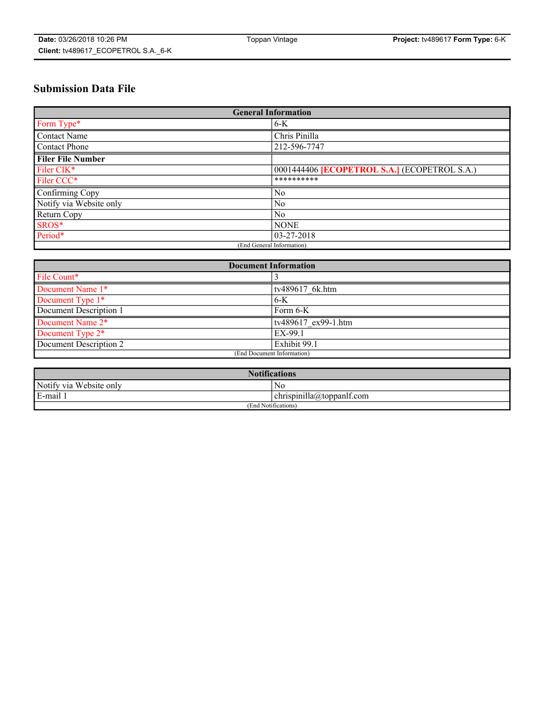# **Submission Data File**

| <b>General Information</b> |                                                     |
|----------------------------|-----------------------------------------------------|
| Form Type*                 | $6-K$                                               |
| Contact Name               | Chris Pinilla                                       |
| Contact Phone              | 212-596-7747                                        |
| <b>Filer File Number</b>   |                                                     |
| Filer CIK*                 | 0001444406 <b>[ECOPETROL S.A.]</b> (ECOPETROL S.A.) |
| Filer CCC*                 | **********                                          |
| Confirming Copy            | $\overline{N_0}$                                    |
| Notify via Website only    | No                                                  |
| Return Copy                | $\overline{N_0}$                                    |
| SROS*                      | <b>NONE</b>                                         |
| Period*                    | 03-27-2018                                          |
| (End General Information)  |                                                     |

| <b>Document Information</b> |                     |
|-----------------------------|---------------------|
| File Count*                 |                     |
| Document Name 1*            | tv489617 6k.htm     |
| Document Type 1*            | 6-K                 |
| Document Description 1      | Form 6-K            |
| Document Name 2*            | tv489617 ex99-1.htm |
| Document Type 2*            | EX-99.1             |
| Document Description 2      | Exhibit 99.1        |
| (End Document Information)  |                     |

| <b>Notifications</b>    |                                        |  |
|-------------------------|----------------------------------------|--|
| Notify via Website only | N0                                     |  |
| E-mail 1                | <br>10<br> chrispinilla(a)toppanIt.com |  |
| (End Notifications)     |                                        |  |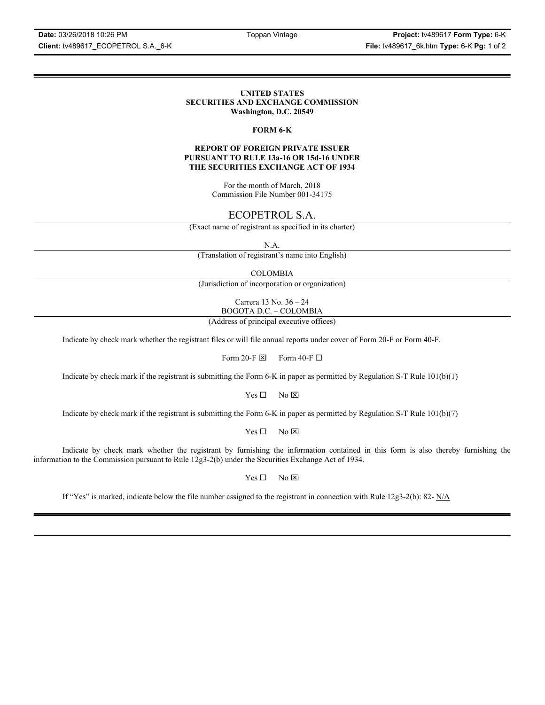**Client:** tv489617\_ECOPETROL S.A.\_6-K **File:** tv489617\_6k.htm **Type:** 6-K **Pg:** 1 of 2

#### **UNITED STATES SECURITIES AND EXCHANGE COMMISSION Washington, D.C. 20549**

#### **FORM 6-K**

#### **REPORT OF FOREIGN PRIVATE ISSUER PURSUANT TO RULE 13a-16 OR 15d-16 UNDER THE SECURITIES EXCHANGE ACT OF 1934**

For the month of March, 2018 Commission File Number 001-34175

# ECOPETROL S.A.

(Exact name of registrant as specified in its charter)

N.A.

(Translation of registrant's name into English)

COLOMBIA

(Jurisdiction of incorporation or organization)

Carrera 13 No. 36 – 24 BOGOTA D.C. – COLOMBIA

(Address of principal executive offices)

Indicate by check mark whether the registrant files or will file annual reports under cover of Form 20-F or Form 40-F.

Form 20-F  $\boxtimes$  Form 40-F  $\Box$ 

Indicate by check mark if the registrant is submitting the Form 6-K in paper as permitted by Regulation S-T Rule 101(b)(1)

 $Yes \Box$  No  $\overline{\times}$ 

Indicate by check mark if the registrant is submitting the Form 6-K in paper as permitted by Regulation S-T Rule 101(b)(7)

 $Yes \Box$  No  $\boxtimes$ 

Indicate by check mark whether the registrant by furnishing the information contained in this form is also thereby furnishing the information to the Commission pursuant to Rule 12g3-2(b) under the Securities Exchange Act of 1934.

 $Yes \Box$  No  $\boxtimes$ 

If "Yes" is marked, indicate below the file number assigned to the registrant in connection with Rule  $12g3-2(b)$ : 82- N/A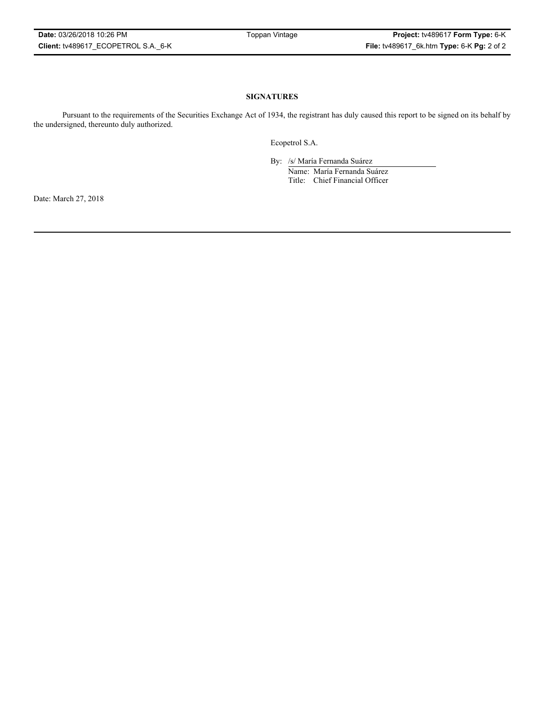### **SIGNATURES**

Pursuant to the requirements of the Securities Exchange Act of 1934, the registrant has duly caused this report to be signed on its behalf by the undersigned, thereunto duly authorized.

Ecopetrol S.A.

By: /s/ María Fernanda Suárez Name: María Fernanda Suárez Title: Chief Financial Officer

Date: March 27, 2018